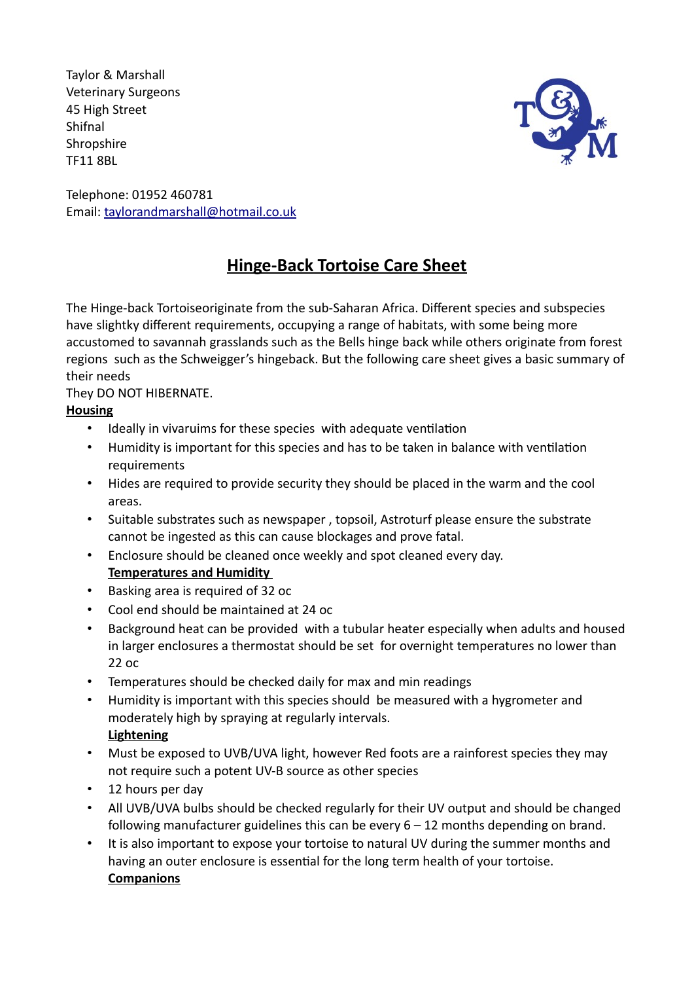Taylor & Marshall Veterinary Surgeons 45 High Street Shifnal **Shropshire** TF11 8BL



Telephone: 01952 460781 Email: taylorandmarshall@hotmail.co.uk

# **Hinge-Back Tortoise Care Sheet**

The Hinge-back Tortoiseoriginate from the sub-Saharan Africa. Different species and subspecies have slightky different requirements, occupying a range of habitats, with some being more accustomed to savannah grasslands such as the Bells hinge back while others originate from forest regions such as the Schweigger's hingeback. But the following care sheet gives a basic summary of their needs

They DO NOT HIBERNATE.

### **Housing**

- Ideally in vivaruims for these species with adequate ventilation
- Humidity is important for this species and has to be taken in balance with ventilation requirements
- Hides are required to provide security they should be placed in the warm and the cool areas.
- Suitable substrates such as newspaper , topsoil, Astroturf please ensure the substrate cannot be ingested as this can cause blockages and prove fatal.
- Enclosure should be cleaned once weekly and spot cleaned every day. **Temperatures and Humidity**
- Basking area is required of 32 oc
- Cool end should be maintained at 24 oc
- Background heat can be provided with a tubular heater especially when adults and housed in larger enclosures a thermostat should be set for overnight temperatures no lower than 22 oc
- Temperatures should be checked daily for max and min readings
- Humidity is important with this species should be measured with a hygrometer and moderately high by spraying at regularly intervals. **Lightening**
- Must be exposed to UVB/UVA light, however Red foots are a rainforest species they may not require such a potent UV-B source as other species
- 12 hours per day
- All UVB/UVA bulbs should be checked regularly for their UV output and should be changed following manufacturer guidelines this can be every 6 – 12 months depending on brand.
- It is also important to expose your tortoise to natural UV during the summer months and having an outer enclosure is essential for the long term health of your tortoise. **Companions**